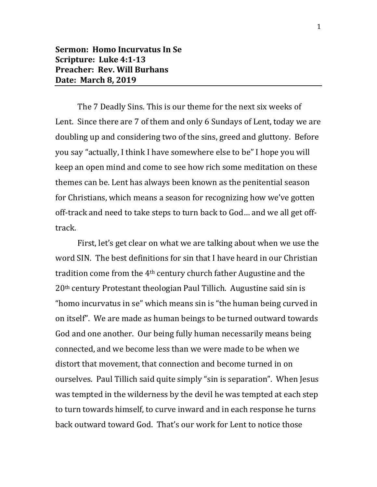The 7 Deadly Sins. This is our theme for the next six weeks of Lent. Since there are 7 of them and only 6 Sundays of Lent, today we are doubling up and considering two of the sins, greed and gluttony. Before you say "actually, I think I have somewhere else to be" I hope you will keep an open mind and come to see how rich some meditation on these themes can be. Lent has always been known as the penitential season for Christians, which means a season for recognizing how we've gotten off-track and need to take steps to turn back to God… and we all get offtrack.

First, let's get clear on what we are talking about when we use the word SIN. The best definitions for sin that I have heard in our Christian tradition come from the  $4<sup>th</sup>$  century church father Augustine and the 20th century Protestant theologian Paul Tillich. Augustine said sin is "homo incurvatus in se" which means sin is "the human being curved in on itself". We are made as human beings to be turned outward towards God and one another. Our being fully human necessarily means being connected, and we become less than we were made to be when we distort that movement, that connection and become turned in on ourselves. Paul Tillich said quite simply "sin is separation". When Jesus was tempted in the wilderness by the devil he was tempted at each step to turn towards himself, to curve inward and in each response he turns back outward toward God. That's our work for Lent to notice those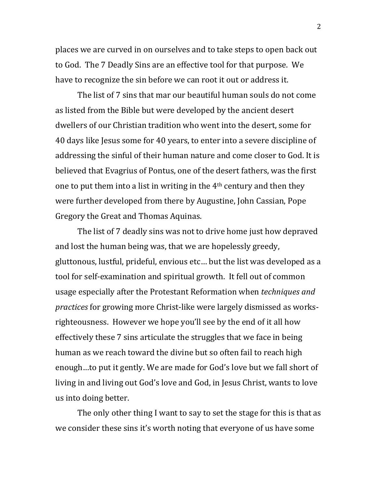places we are curved in on ourselves and to take steps to open back out to God. The 7 Deadly Sins are an effective tool for that purpose. We have to recognize the sin before we can root it out or address it.

The list of 7 sins that mar our beautiful human souls do not come as listed from the Bible but were developed by the ancient desert dwellers of our Christian tradition who went into the desert, some for 40 days like Jesus some for 40 years, to enter into a severe discipline of addressing the sinful of their human nature and come closer to God. It is believed that Evagrius of Pontus, one of the desert fathers, was the first one to put them into a list in writing in the 4th century and then they were further developed from there by Augustine, John Cassian, Pope Gregory the Great and Thomas Aquinas.

The list of 7 deadly sins was not to drive home just how depraved and lost the human being was, that we are hopelessly greedy, gluttonous, lustful, prideful, envious etc… but the list was developed as a tool for self-examination and spiritual growth. It fell out of common usage especially after the Protestant Reformation when *techniques and practices* for growing more Christ-like were largely dismissed as worksrighteousness. However we hope you'll see by the end of it all how effectively these 7 sins articulate the struggles that we face in being human as we reach toward the divine but so often fail to reach high enough…to put it gently. We are made for God's love but we fall short of living in and living out God's love and God, in Jesus Christ, wants to love us into doing better.

The only other thing I want to say to set the stage for this is that as we consider these sins it's worth noting that everyone of us have some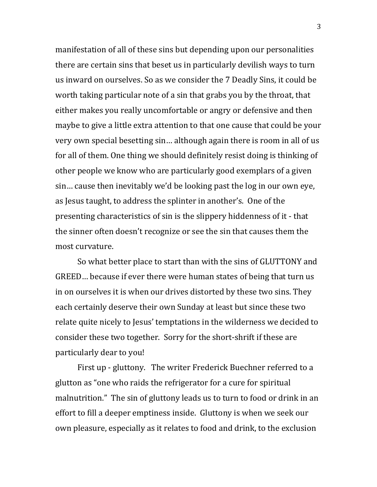manifestation of all of these sins but depending upon our personalities there are certain sins that beset us in particularly devilish ways to turn us inward on ourselves. So as we consider the 7 Deadly Sins, it could be worth taking particular note of a sin that grabs you by the throat, that either makes you really uncomfortable or angry or defensive and then maybe to give a little extra attention to that one cause that could be your very own special besetting sin… although again there is room in all of us for all of them. One thing we should definitely resist doing is thinking of other people we know who are particularly good exemplars of a given sin… cause then inevitably we'd be looking past the log in our own eye, as Jesus taught, to address the splinter in another's. One of the presenting characteristics of sin is the slippery hiddenness of it - that the sinner often doesn't recognize or see the sin that causes them the most curvature.

So what better place to start than with the sins of GLUTTONY and GREED… because if ever there were human states of being that turn us in on ourselves it is when our drives distorted by these two sins. They each certainly deserve their own Sunday at least but since these two relate quite nicely to Jesus' temptations in the wilderness we decided to consider these two together. Sorry for the short-shrift if these are particularly dear to you!

First up - gluttony. The writer Frederick Buechner referred to a glutton as "one who raids the refrigerator for a cure for spiritual malnutrition." The sin of gluttony leads us to turn to food or drink in an effort to fill a deeper emptiness inside. Gluttony is when we seek our own pleasure, especially as it relates to food and drink, to the exclusion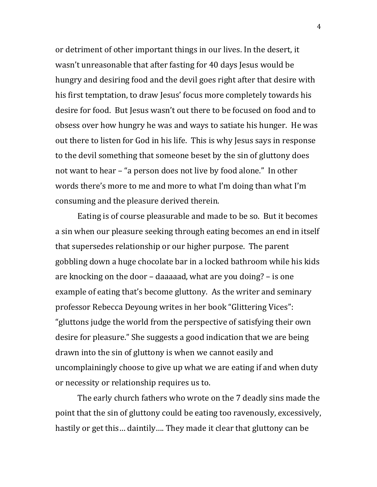or detriment of other important things in our lives. In the desert, it wasn't unreasonable that after fasting for 40 days Jesus would be hungry and desiring food and the devil goes right after that desire with his first temptation, to draw Jesus' focus more completely towards his desire for food. But Jesus wasn't out there to be focused on food and to obsess over how hungry he was and ways to satiate his hunger. He was out there to listen for God in his life. This is why Jesus says in response to the devil something that someone beset by the sin of gluttony does not want to hear – "a person does not live by food alone." In other words there's more to me and more to what I'm doing than what I'm consuming and the pleasure derived therein.

Eating is of course pleasurable and made to be so. But it becomes a sin when our pleasure seeking through eating becomes an end in itself that supersedes relationship or our higher purpose. The parent gobbling down a huge chocolate bar in a locked bathroom while his kids are knocking on the door – daaaaad, what are you doing? – is one example of eating that's become gluttony. As the writer and seminary professor Rebecca Deyoung writes in her book "Glittering Vices": "gluttons judge the world from the perspective of satisfying their own desire for pleasure." She suggests a good indication that we are being drawn into the sin of gluttony is when we cannot easily and uncomplainingly choose to give up what we are eating if and when duty or necessity or relationship requires us to.

The early church fathers who wrote on the 7 deadly sins made the point that the sin of gluttony could be eating too ravenously, excessively, hastily or get this… daintily…. They made it clear that gluttony can be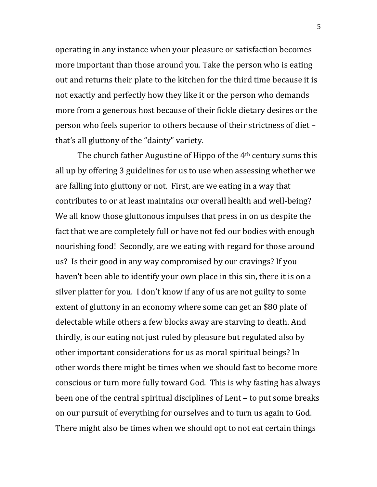operating in any instance when your pleasure or satisfaction becomes more important than those around you. Take the person who is eating out and returns their plate to the kitchen for the third time because it is not exactly and perfectly how they like it or the person who demands more from a generous host because of their fickle dietary desires or the person who feels superior to others because of their strictness of diet – that's all gluttony of the "dainty" variety.

The church father Augustine of Hippo of the 4th century sums this all up by offering 3 guidelines for us to use when assessing whether we are falling into gluttony or not. First, are we eating in a way that contributes to or at least maintains our overall health and well-being? We all know those gluttonous impulses that press in on us despite the fact that we are completely full or have not fed our bodies with enough nourishing food! Secondly, are we eating with regard for those around us? Is their good in any way compromised by our cravings? If you haven't been able to identify your own place in this sin, there it is on a silver platter for you. I don't know if any of us are not guilty to some extent of gluttony in an economy where some can get an \$80 plate of delectable while others a few blocks away are starving to death. And thirdly, is our eating not just ruled by pleasure but regulated also by other important considerations for us as moral spiritual beings? In other words there might be times when we should fast to become more conscious or turn more fully toward God. This is why fasting has always been one of the central spiritual disciplines of Lent – to put some breaks on our pursuit of everything for ourselves and to turn us again to God. There might also be times when we should opt to not eat certain things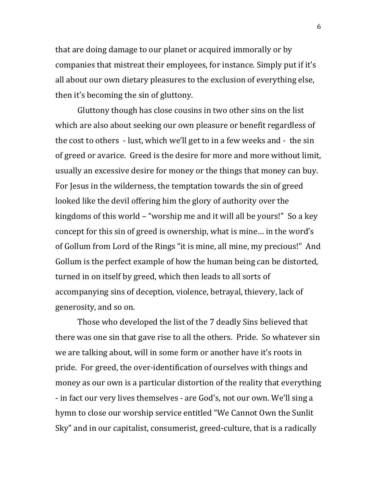that are doing damage to our planet or acquired immorally or by companies that mistreat their employees, for instance. Simply put if it's all about our own dietary pleasures to the exclusion of everything else, then it's becoming the sin of gluttony.

Gluttony though has close cousins in two other sins on the list which are also about seeking our own pleasure or benefit regardless of the cost to others - lust, which we'll get to in a few weeks and - the sin of greed or avarice. Greed is the desire for more and more without limit, usually an excessive desire for money or the things that money can buy. For Jesus in the wilderness, the temptation towards the sin of greed looked like the devil offering him the glory of authority over the kingdoms of this world – "worship me and it will all be yours!" So a key concept for this sin of greed is ownership, what is mine… in the word's of Gollum from Lord of the Rings "it is mine, all mine, my precious!" And Gollum is the perfect example of how the human being can be distorted, turned in on itself by greed, which then leads to all sorts of accompanying sins of deception, violence, betrayal, thievery, lack of generosity, and so on.

Those who developed the list of the 7 deadly Sins believed that there was one sin that gave rise to all the others. Pride. So whatever sin we are talking about, will in some form or another have it's roots in pride. For greed, the over-identification of ourselves with things and money as our own is a particular distortion of the reality that everything - in fact our very lives themselves - are God's, not our own. We'll sing a hymn to close our worship service entitled "We Cannot Own the Sunlit Sky" and in our capitalist, consumerist, greed-culture, that is a radically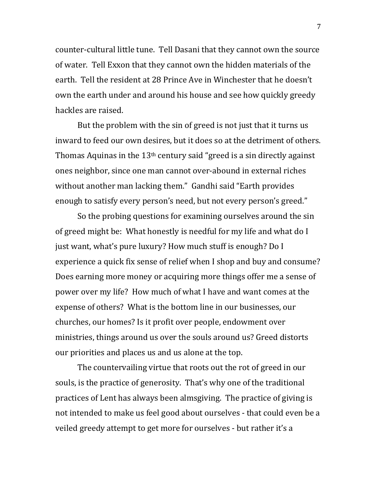counter-cultural little tune. Tell Dasani that they cannot own the source of water. Tell Exxon that they cannot own the hidden materials of the earth. Tell the resident at 28 Prince Ave in Winchester that he doesn't own the earth under and around his house and see how quickly greedy hackles are raised.

But the problem with the sin of greed is not just that it turns us inward to feed our own desires, but it does so at the detriment of others. Thomas Aquinas in the  $13<sup>th</sup>$  century said "greed is a sin directly against ones neighbor, since one man cannot over-abound in external riches without another man lacking them." Gandhi said "Earth provides enough to satisfy every person's need, but not every person's greed."

So the probing questions for examining ourselves around the sin of greed might be: What honestly is needful for my life and what do I just want, what's pure luxury? How much stuff is enough? Do I experience a quick fix sense of relief when I shop and buy and consume? Does earning more money or acquiring more things offer me a sense of power over my life? How much of what I have and want comes at the expense of others? What is the bottom line in our businesses, our churches, our homes? Is it profit over people, endowment over ministries, things around us over the souls around us? Greed distorts our priorities and places us and us alone at the top.

The countervailing virtue that roots out the rot of greed in our souls, is the practice of generosity. That's why one of the traditional practices of Lent has always been almsgiving. The practice of giving is not intended to make us feel good about ourselves - that could even be a veiled greedy attempt to get more for ourselves - but rather it's a